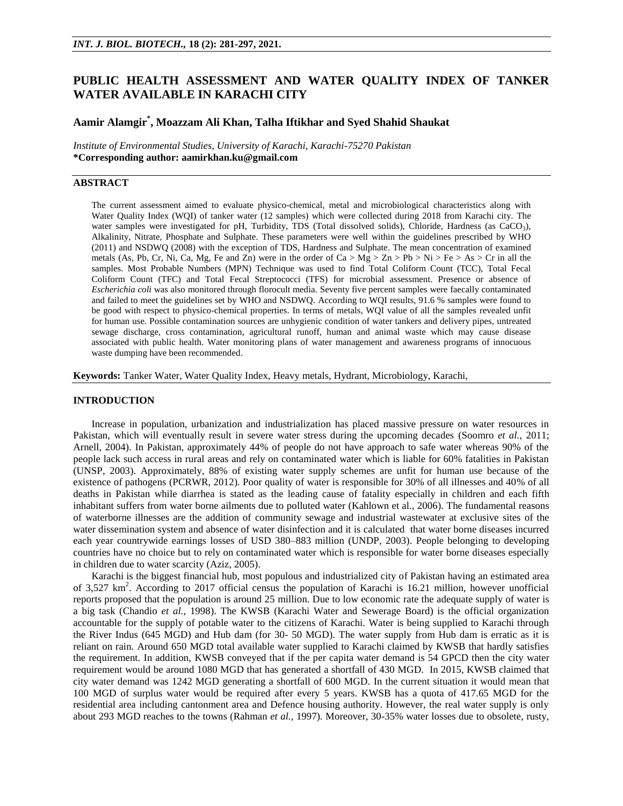# **PUBLIC HEALTH ASSESSMENT AND WATER QUALITY INDEX OF TANKER WATER AVAILABLE IN KARACHI CITY**

# **Aamir Alamgir\* , Moazzam Ali Khan, Talha Iftikhar and Syed Shahid Shaukat**

*Institute of Environmental Studies, University of Karachi, Karachi-75270 Pakistan* **\*Corresponding author: aamirkhan.ku@gmail.com**

# **ABSTRACT**

The current assessment aimed to evaluate physico-chemical, metal and microbiological characteristics along with Water Quality Index (WQI) of tanker water (12 samples) which were collected during 2018 from Karachi city. The water samples were investigated for pH, Turbidity, TDS (Total dissolved solids), Chloride, Hardness (as CaCO<sub>3</sub>), Alkalinity, Nitrate, Phosphate and Sulphate. These parameters were well within the guidelines prescribed by WHO (2011) and NSDWQ (2008) with the exception of TDS, Hardness and Sulphate. The mean concentration of examined metals (As, Pb, Cr, Ni, Ca, Mg, Fe and Zn) were in the order of Ca > Mg > Zn > Pb > Ni > Fe > As > Cr in all the samples. Most Probable Numbers (MPN) Technique was used to find Total Coliform Count (TCC), Total Fecal Coliform Count (TFC) and Total Fecal Streptococci (TFS) for microbial assessment. Presence or absence of *Escherichia coli* was also monitored through florocult media. Seventy five percent samples were faecally contaminated and failed to meet the guidelines set by WHO and NSDWQ. According to WQI results, 91.6 % samples were found to be good with respect to physico-chemical properties. In terms of metals, WQI value of all the samples revealed unfit for human use. Possible contamination sources are unhygienic condition of water tankers and delivery pipes, untreated sewage discharge, cross contamination, agricultural runoff, human and animal waste which may cause disease associated with public health. Water monitoring plans of water management and awareness programs of innocuous waste dumping have been recommended.

**Keywords:** Tanker Water, Water Quality Index, Heavy metals, Hydrant, Microbiology, Karachi,

#### **INTRODUCTION**

Increase in population, urbanization and industrialization has placed massive pressure on water resources in Pakistan, which will eventually result in severe water stress during the upcoming decades (Soomro *et al.,* 2011; Arnell, 2004). In Pakistan, approximately 44% of people do not have approach to safe water whereas 90% of the people lack such access in rural areas and rely on contaminated water which is liable for 60% fatalities in Pakistan (UNSP, 2003). Approximately, 88% of existing water supply schemes are unfit for human use because of the existence of pathogens (PCRWR, 2012). Poor quality of water is responsible for 30% of all illnesses and 40% of all deaths in Pakistan while diarrhea is stated as the leading cause of fatality especially in children and each fifth inhabitant suffers from water borne ailments due to polluted water (Kahlown et al., 2006). The fundamental reasons of waterborne illnesses are the addition of community sewage and industrial wastewater at exclusive sites of the water dissemination system and absence of water disinfection and it is calculated that water borne diseases incurred each year countrywide earnings losses of USD 380–883 million (UNDP, 2003). People belonging to developing countries have no choice but to rely on contaminated water which is responsible for water borne diseases especially in children due to water scarcity (Aziz, 2005).

Karachi is the biggest financial hub, most populous and industrialized city of Pakistan having an estimated area of 3,527 km<sup>2</sup>. According to 2017 official census the population of Karachi is 16.21 million, however unofficial reports proposed that the population is around 25 million. Due to low economic rate the adequate supply of water is a big task (Chandio *et al.,* 1998). The KWSB (Karachi Water and Sewerage Board) is the official organization accountable for the supply of potable water to the citizens of Karachi. Water is being supplied to Karachi through the River Indus (645 MGD) and Hub dam (for 30- 50 MGD). The water supply from Hub dam is erratic as it is reliant on rain. Around 650 MGD total available water supplied to Karachi claimed by KWSB that hardly satisfies the requirement. In addition, KWSB conveyed that if the per capita water demand is 54 GPCD then the city water requirement would be around 1080 MGD that has generated a shortfall of 430 MGD. In 2015, KWSB claimed that city water demand was 1242 MGD generating a shortfall of 600 MGD. In the current situation it would mean that 100 MGD of surplus water would be required after every 5 years. KWSB has a quota of 417.65 MGD for the residential area including cantonment area and Defence housing authority. However, the real water supply is only about 293 MGD reaches to the towns (Rahman *et al.,* 1997). Moreover, 30-35% water losses due to obsolete, rusty,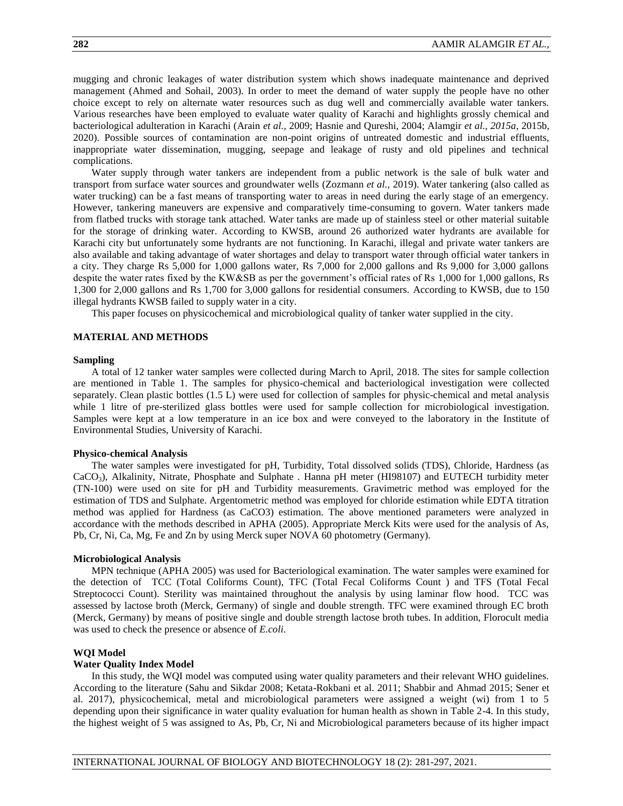mugging and chronic leakages of water distribution system which shows inadequate maintenance and deprived management (Ahmed and Sohail, 2003). In order to meet the demand of water supply the people have no other choice except to rely on alternate water resources such as dug well and commercially available water tankers. Various researches have been employed to evaluate water quality of Karachi and highlights grossly chemical and bacteriological adulteration in Karachi (Arain *et al.,* 2009; Hasnie and Qureshi, 2004; Alamgir *et al., 2015a*, 2015b, 2020). Possible sources of contamination are non-point origins of untreated domestic and industrial effluents, inappropriate water dissemination, mugging, seepage and leakage of rusty and old pipelines and technical complications.

Water supply through water tankers are independent from a public network is the sale of bulk water and transport from surface water sources and groundwater wells (Zozmann *et al.,* 2019). Water tankering (also called as water trucking) can be a fast means of transporting water to areas in need during the early stage of an emergency. However, tankering maneuvers are expensive and comparatively time-consuming to govern. Water tankers made from flatbed trucks with storage tank attached. Water tanks are made up of stainless steel or other material suitable for the storage of drinking water. According to KWSB, around 26 authorized water hydrants are available for Karachi city but unfortunately some hydrants are not functioning. In Karachi, illegal and private water tankers are also available and taking advantage of water shortages and delay to transport water through official water tankers in a city. They charge Rs 5,000 for 1,000 gallons water, Rs 7,000 for 2,000 gallons and Rs 9,000 for 3,000 gallons despite the water rates fixed by the KW&SB as per the government's official rates of Rs 1,000 for 1,000 gallons, Rs 1,300 for 2,000 gallons and Rs 1,700 for 3,000 gallons for residential consumers. According to KWSB, due to 150 illegal hydrants KWSB failed to supply water in a city.

This paper focuses on physicochemical and microbiological quality of tanker water supplied in the city.

# **MATERIAL AND METHODS**

#### **Sampling**

A total of 12 tanker water samples were collected during March to April, 2018. The sites for sample collection are mentioned in Table 1. The samples for physico-chemical and bacteriological investigation were collected separately. Clean plastic bottles (1.5 L) were used for collection of samples for physic-chemical and metal analysis while 1 litre of pre-sterilized glass bottles were used for sample collection for microbiological investigation. Samples were kept at a low temperature in an ice box and were conveyed to the laboratory in the Institute of Environmental Studies, University of Karachi.

#### **Physico-chemical Analysis**

The water samples were investigated for pH, Turbidity, Total dissolved solids (TDS), Chloride, Hardness (as CaCO3), Alkalinity, Nitrate, Phosphate and Sulphate . Hanna pH meter (HI98107) and EUTECH turbidity meter (TN-100) were used on site for pH and Turbidity measurements. Gravimetric method was employed for the estimation of TDS and Sulphate. Argentometric method was employed for chloride estimation while EDTA titration method was applied for Hardness (as CaCO3) estimation. The above mentioned parameters were analyzed in accordance with the methods described in APHA (2005). Appropriate Merck Kits were used for the analysis of As, Pb, Cr, Ni, Ca, Mg, Fe and Zn by using Merck super NOVA 60 photometry (Germany).

#### **Microbiological Analysis**

MPN technique (APHA 2005) was used for Bacteriological examination. The water samples were examined for the detection of TCC (Total Coliforms Count), TFC (Total Fecal Coliforms Count ) and TFS (Total Fecal Streptococci Count). Sterility was maintained throughout the analysis by using laminar flow hood. TCC was assessed by lactose broth (Merck, Germany) of single and double strength. TFC were examined through EC broth (Merck, Germany) by means of positive single and double strength lactose broth tubes. In addition, Florocult media was used to check the presence or absence of *E.coli*.

#### **WQI Model**

### **Water Quality Index Model**

In this study, the WQI model was computed using water quality parameters and their relevant WHO guidelines. According to the literature (Sahu and Sikdar 2008; Ketata-Rokbani et al. 2011; Shabbir and Ahmad 2015; Sener et al. 2017), physicochemical, metal and microbiological parameters were assigned a weight (wi) from 1 to 5 depending upon their significance in water quality evaluation for human health as shown in Table 2-4. In this study, the highest weight of 5 was assigned to As, Pb, Cr, Ni and Microbiological parameters because of its higher impact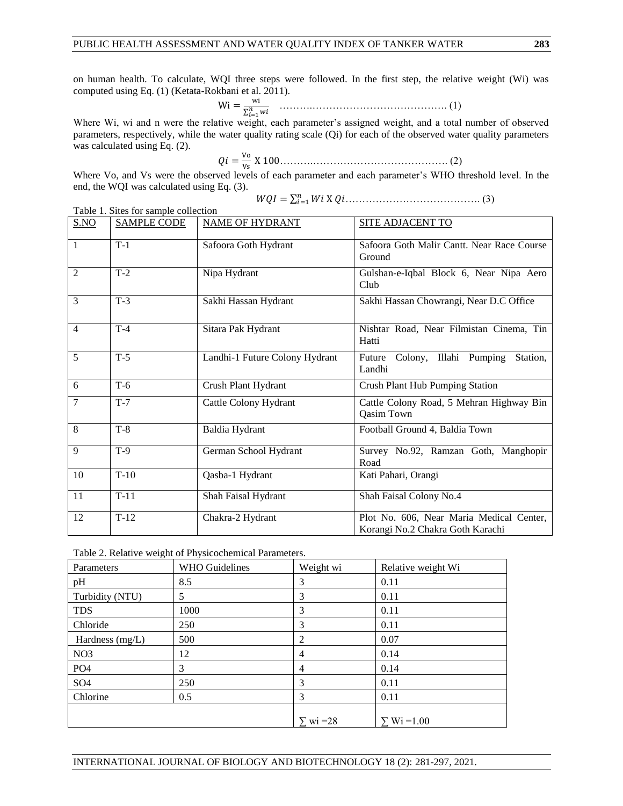on human health. To calculate, WQI three steps were followed. In the first step, the relative weight (Wi) was computed using Eq. (1) (Ketata-Rokbani et al. 2011).

 ∑ ……….…………………………………. (1)

Where Wi, wi and n were the relative weight, each parameter's assigned weight, and a total number of observed parameters, respectively, while the water quality rating scale (Qi) for each of the observed water quality parameters was calculated using Eq. (2).  $\overline{M}$ 

 ……….…………………………………. (2) 

Where Vo, and Vs were the observed levels of each parameter and each parameter's WHO threshold level. In the end, the WQI was calculated using Eq. (3).

∑ …………………………………. (3)

|                | Table 1. Sites for sample collection |                                |                                                                              |  |  |  |  |
|----------------|--------------------------------------|--------------------------------|------------------------------------------------------------------------------|--|--|--|--|
| S.NO           | <b>SAMPLE CODE</b>                   | <b>NAME OF HYDRANT</b>         | <b>SITE ADJACENT TO</b>                                                      |  |  |  |  |
| $\mathbf{1}$   | $T-1$                                | Safoora Goth Hydrant           | Safoora Goth Malir Cantt. Near Race Course<br>Ground                         |  |  |  |  |
| $\overline{c}$ | $T-2$                                | Nipa Hydrant                   | Gulshan-e-Iqbal Block 6, Near Nipa Aero<br>Club                              |  |  |  |  |
| 3              | $T-3$                                | Sakhi Hassan Hydrant           | Sakhi Hassan Chowrangi, Near D.C Office                                      |  |  |  |  |
| $\overline{4}$ | $T-4$                                | Sitara Pak Hydrant             | Nishtar Road, Near Filmistan Cinema, Tin<br>Hatti                            |  |  |  |  |
| 5              | $T-5$                                | Landhi-1 Future Colony Hydrant | Future Colony, Illahi Pumping<br>Station.<br>Landhi                          |  |  |  |  |
| 6              | $T-6$                                | Crush Plant Hydrant            | Crush Plant Hub Pumping Station                                              |  |  |  |  |
| 7              | $T-7$                                | Cattle Colony Hydrant          | Cattle Colony Road, 5 Mehran Highway Bin<br><b>Qasim Town</b>                |  |  |  |  |
| 8              | $T-8$                                | Baldia Hydrant                 | Football Ground 4, Baldia Town                                               |  |  |  |  |
| 9              | $T-9$                                | German School Hydrant          | Survey No.92, Ramzan Goth, Manghopir<br>Road                                 |  |  |  |  |
| 10             | $T-10$                               | Qasba-1 Hydrant                | Kati Pahari, Orangi                                                          |  |  |  |  |
| 11             | $T-11$                               | Shah Faisal Hydrant            | Shah Faisal Colony No.4                                                      |  |  |  |  |
| 12             | $T-12$                               | Chakra-2 Hydrant               | Plot No. 606, Near Maria Medical Center,<br>Korangi No.2 Chakra Goth Karachi |  |  |  |  |

Table 2. Relative weight of Physicochemical Parameters.

| Parameters      | <b>WHO</b> Guidelines | Weight wi | Relative weight Wi |
|-----------------|-----------------------|-----------|--------------------|
| pH              | 8.5                   | 3         | 0.11               |
| Turbidity (NTU) | 5                     | 3         | 0.11               |
| <b>TDS</b>      | 1000                  | 3         | 0.11               |
| Chloride        | 250                   | 3         | 0.11               |
| Hardness (mg/L) | 500                   | 2         | 0.07               |
| NO <sub>3</sub> | 12                    | 4         | 0.14               |
| PO <sub>4</sub> | 3                     | 4         | 0.14               |
| SO <sub>4</sub> | 250                   | 3         | 0.11               |
| Chlorine        | 0.5                   | 3         | 0.11               |
|                 |                       | $wi = 28$ | $Wi = 1.00$        |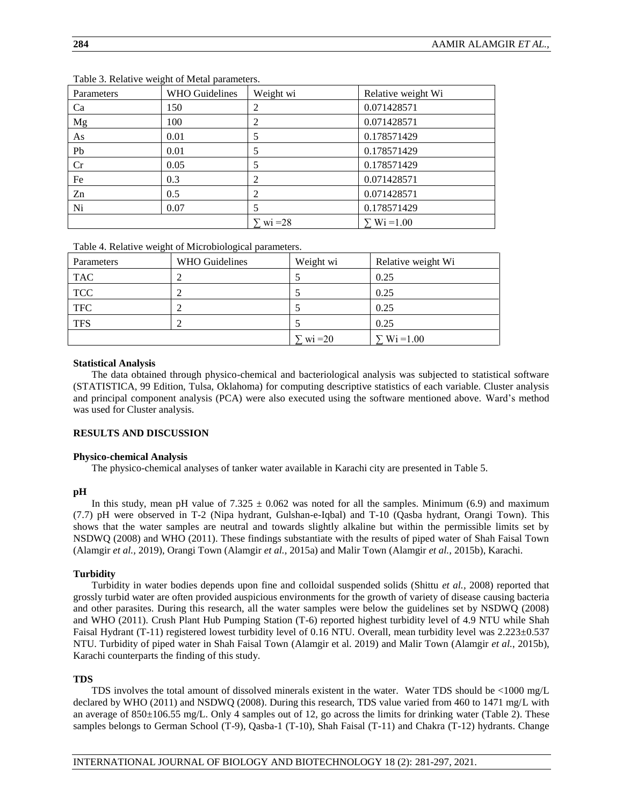| Parameters | <b>WHO Guidelines</b> | Weight wi       | Relative weight Wi |
|------------|-----------------------|-----------------|--------------------|
| Ca         | 150                   | 2               | 0.071428571        |
| Mg         | 100                   | 2               | 0.071428571        |
| As         | 0.01                  |                 | 0.178571429        |
| Pb         | 0.01                  | 5               | 0.178571429        |
| Cr         | 0.05                  | 5               | 0.178571429        |
| Fe         | 0.3                   | 2               | 0.071428571        |
| Zn         | 0.5                   | 2               | 0.071428571        |
| Ni         | 0.07                  |                 | 0.178571429        |
|            |                       | $\Sigma$ wi =28 | $\Sigma$ Wi = 1.00 |

Table 3. Relative weight of Metal parameters.

Table 4. Relative weight of Microbiological parameters.

| Parameters | WHO Guidelines | Weight wi     | Relative weight Wi |
|------------|----------------|---------------|--------------------|
| <b>TAC</b> |                |               | 0.25               |
| <b>TCC</b> |                |               | 0.25               |
| <b>TFC</b> |                |               | 0.25               |
| <b>TFS</b> |                |               | 0.25               |
|            |                | $\sum$ wi =20 | $\sum W_i = 1.00$  |

# **Statistical Analysis**

The data obtained through physico-chemical and bacteriological analysis was subjected to statistical software (STATISTICA, 99 Edition, Tulsa, Oklahoma) for computing descriptive statistics of each variable. Cluster analysis and principal component analysis (PCA) were also executed using the software mentioned above. Ward's method was used for Cluster analysis.

# **RESULTS AND DISCUSSION**

# **Physico-chemical Analysis**

The physico-chemical analyses of tanker water available in Karachi city are presented in Table 5.

# **pH**

In this study, mean pH value of  $7.325 \pm 0.062$  was noted for all the samples. Minimum (6.9) and maximum (7.7) pH were observed in T-2 (Nipa hydrant, Gulshan-e-Iqbal) and T-10 (Qasba hydrant, Orangi Town). This shows that the water samples are neutral and towards slightly alkaline but within the permissible limits set by NSDWQ (2008) and WHO (2011). These findings substantiate with the results of piped water of Shah Faisal Town (Alamgir *et al.,* 2019), Orangi Town (Alamgir *et al.,* 2015a) and Malir Town (Alamgir *et al.,* 2015b), Karachi.

# **Turbidity**

Turbidity in water bodies depends upon fine and colloidal suspended solids (Shittu *et al.,* 2008) reported that grossly turbid water are often provided auspicious environments for the growth of variety of disease causing bacteria and other parasites. During this research, all the water samples were below the guidelines set by NSDWQ (2008) and WHO (2011). Crush Plant Hub Pumping Station (T-6) reported highest turbidity level of 4.9 NTU while Shah Faisal Hydrant (T-11) registered lowest turbidity level of 0.16 NTU. Overall, mean turbidity level was 2.223±0.537 NTU. Turbidity of piped water in Shah Faisal Town (Alamgir et al. 2019) and Malir Town (Alamgir *et al.*, 2015b), Karachi counterparts the finding of this study.

# **TDS**

TDS involves the total amount of dissolved minerals existent in the water. Water TDS should be <1000 mg/L declared by WHO (2011) and NSDWQ (2008). During this research, TDS value varied from 460 to 1471 mg/L with an average of  $850\pm106.55$  mg/L. Only 4 samples out of 12, go across the limits for drinking water (Table 2). These samples belongs to German School (T-9), Qasba-1 (T-10), Shah Faisal (T-11) and Chakra (T-12) hydrants. Change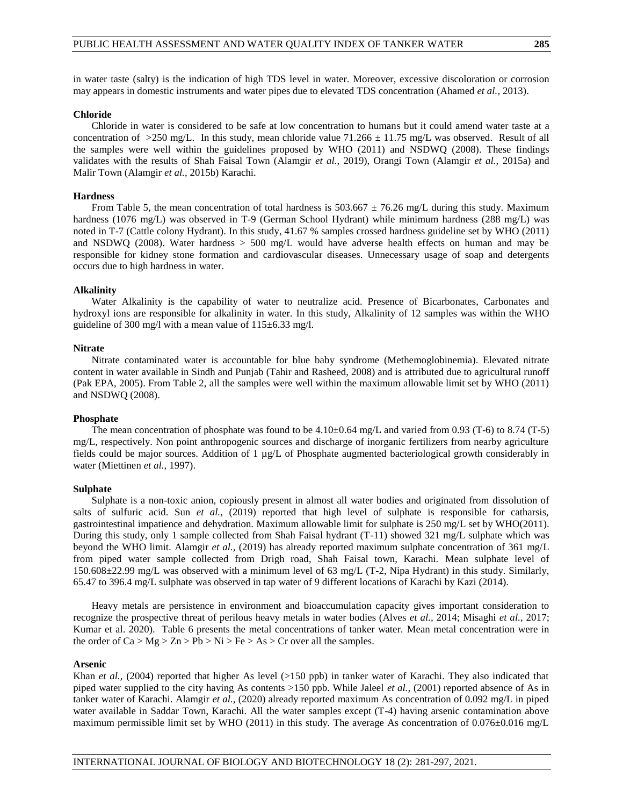in water taste (salty) is the indication of high TDS level in water. Moreover, excessive discoloration or corrosion may appears in domestic instruments and water pipes due to elevated TDS concentration (Ahamed *et al.,* 2013).

#### **Chloride**

Chloride in water is considered to be safe at low concentration to humans but it could amend water taste at a concentration of  $>250$  mg/L. In this study, mean chloride value 71.266  $\pm$  11.75 mg/L was observed. Result of all the samples were well within the guidelines proposed by WHO (2011) and NSDWQ (2008). These findings validates with the results of Shah Faisal Town (Alamgir *et al.,* 2019), Orangi Town (Alamgir *et al.,* 2015a) and Malir Town (Alamgir *et al.,* 2015b) Karachi.

### **Hardness**

From Table 5, the mean concentration of total hardness is  $503.667 \pm 76.26$  mg/L during this study. Maximum hardness (1076 mg/L) was observed in T-9 (German School Hydrant) while minimum hardness (288 mg/L) was noted in T-7 (Cattle colony Hydrant). In this study, 41.67 % samples crossed hardness guideline set by WHO (2011) and NSDWQ (2008). Water hardness > 500 mg/L would have adverse health effects on human and may be responsible for kidney stone formation and cardiovascular diseases. Unnecessary usage of soap and detergents occurs due to high hardness in water.

#### **Alkalinity**

Water Alkalinity is the capability of water to neutralize acid. Presence of Bicarbonates, Carbonates and hydroxyl ions are responsible for alkalinity in water. In this study, Alkalinity of 12 samples was within the WHO guideline of 300 mg/l with a mean value of  $115\pm6.33$  mg/l.

#### **Nitrate**

Nitrate contaminated water is accountable for blue baby syndrome (Methemoglobinemia). Elevated nitrate content in water available in Sindh and Punjab (Tahir and Rasheed, 2008) and is attributed due to agricultural runoff (Pak EPA, 2005). From Table 2, all the samples were well within the maximum allowable limit set by WHO (2011) and NSDWQ (2008).

# **Phosphate**

The mean concentration of phosphate was found to be  $4.10\pm0.64$  mg/L and varied from 0.93 (T-6) to 8.74 (T-5) mg/L, respectively. Non point anthropogenic sources and discharge of inorganic fertilizers from nearby agriculture fields could be major sources. Addition of 1 µg/L of Phosphate augmented bacteriological growth considerably in water (Miettinen *et al.,* 1997).

#### **Sulphate**

Sulphate is a non-toxic anion, copiously present in almost all water bodies and originated from dissolution of salts of sulfuric acid. Sun *et al.*, (2019) reported that high level of sulphate is responsible for catharsis, gastrointestinal impatience and dehydration. Maximum allowable limit for sulphate is 250 mg/L set by WHO(2011). During this study, only 1 sample collected from Shah Faisal hydrant (T-11) showed 321 mg/L sulphate which was beyond the WHO limit. Alamgir *et al.,* (2019) has already reported maximum sulphate concentration of 361 mg/L from piped water sample collected from Drigh road, Shah Faisal town, Karachi. Mean sulphate level of 150.608±22.99 mg/L was observed with a minimum level of 63 mg/L (T-2, Nipa Hydrant) in this study. Similarly, 65.47 to 396.4 mg/L sulphate was observed in tap water of 9 different locations of Karachi by Kazi (2014).

Heavy metals are persistence in environment and bioaccumulation capacity gives important consideration to recognize the prospective threat of perilous heavy metals in water bodies (Alves *et al.,* 2014; Misaghi *et al.*, 2017; Kumar et al. 2020). Table 6 presents the metal concentrations of tanker water. Mean metal concentration were in the order of  $Ca > Mg > Zn > Pb > Ni > Fe > As > Cr$  over all the samples.

### **Arsenic**

Khan *et al.*, (2004) reported that higher As level (>150 ppb) in tanker water of Karachi. They also indicated that piped water supplied to the city having As contents >150 ppb. While Jaleel *et al.,* (2001) reported absence of As in tanker water of Karachi. Alamgir *et al.,* (2020) already reported maximum As concentration of 0.092 mg/L in piped water available in Saddar Town, Karachi. All the water samples except (T-4) having arsenic contamination above maximum permissible limit set by WHO (2011) in this study. The average As concentration of 0.076±0.016 mg/L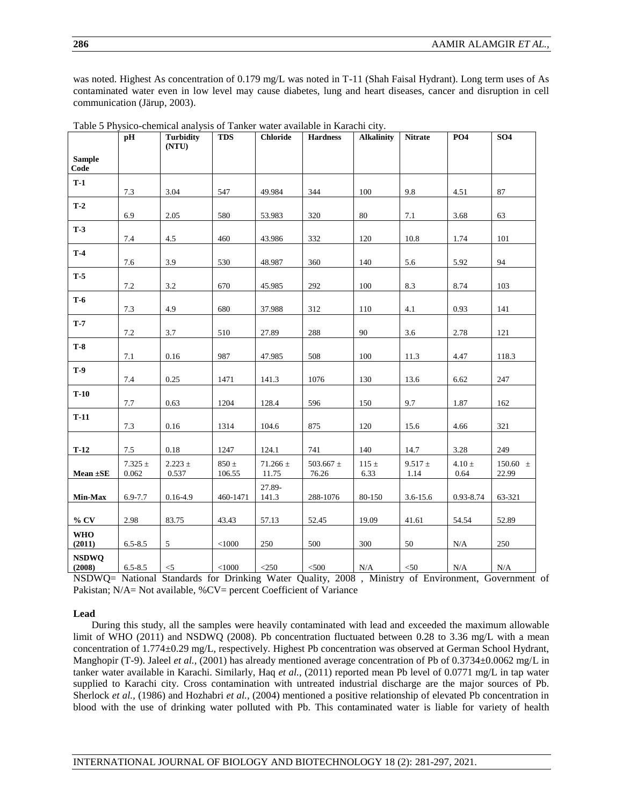was noted. Highest As concentration of 0.179 mg/L was noted in T-11 (Shah Faisal Hydrant). Long term uses of As contaminated water even in low level may cause diabetes, lung and heart diseases, cancer and disruption in cell communication (Järup, 2003).

|                        | pH                   | <b>Turbidity</b><br>(NTU) | <b>TDS</b>          | <b>Chloride</b>       | <b>Hardness</b>        | <b>Alkalinity</b> | <b>Nitrate</b>      | <b>PO4</b>         | SO <sub>4</sub>       |
|------------------------|----------------------|---------------------------|---------------------|-----------------------|------------------------|-------------------|---------------------|--------------------|-----------------------|
| <b>Sample</b><br>Code  |                      |                           |                     |                       |                        |                   |                     |                    |                       |
| $T-1$                  |                      |                           |                     |                       |                        |                   |                     |                    |                       |
|                        | 7.3                  | 3.04                      | 547                 | 49.984                | 344                    | 100               | 9.8                 | 4.51               | 87                    |
| $T-2$                  | 6.9                  | 2.05                      | 580                 | 53.983                | 320                    | 80                | 7.1                 | 3.68               | 63                    |
| $T-3$                  | 7.4                  | 4.5                       | 460                 | 43.986                | 332                    | 120               | 10.8                | 1.74               | 101                   |
| $T-4$                  | 7.6                  | 3.9                       | 530                 | 48.987                | 360                    | 140               | 5.6                 | 5.92               | 94                    |
| $T-5$                  |                      |                           |                     |                       |                        |                   |                     |                    |                       |
|                        | 7.2                  | 3.2                       | 670                 | 45.985                | 292                    | 100               | 8.3                 | 8.74               | 103                   |
| $T-6$                  | 7.3                  | 4.9                       | 680                 | 37.988                | 312                    | 110               | 4.1                 | 0.93               | 141                   |
| $T-7$                  |                      |                           |                     |                       |                        |                   |                     |                    |                       |
|                        | 7.2                  | 3.7                       | 510                 | 27.89                 | 288                    | 90                | 3.6                 | 2.78               | 121                   |
| $T-8$                  | $7.1\,$              | 0.16                      | 987                 | 47.985                | 508                    | 100               | 11.3                | 4.47               | 118.3                 |
| <b>T-9</b>             | 7.4                  | 0.25                      | 1471                | 141.3                 | 1076                   | 130               | 13.6                | 6.62               | 247                   |
| $T-10$                 | 7.7                  | 0.63                      | 1204                | 128.4                 | 596                    | 150               | 9.7                 | 1.87               | 162                   |
| $T-11$                 | 7.3                  | 0.16                      | 1314                | 104.6                 | 875                    | 120               | 15.6                | 4.66               | 321                   |
|                        |                      |                           |                     |                       |                        |                   |                     |                    |                       |
| $T-12$                 | $7.5\,$              | 0.18                      | 1247                | 124.1                 | 741                    | 140               | 14.7                | 3.28               | 249                   |
| Mean $\pm$ SE          | $7.325 \pm$<br>0.062 | $2.223 \pm$<br>0.537      | $850 \pm$<br>106.55 | 71.266 $\pm$<br>11.75 | 503.667 $\pm$<br>76.26 | $115 \pm$<br>6.33 | $9.517 \pm$<br>1.14 | $4.10 \pm$<br>0.64 | $150.60 \pm$<br>22.99 |
| Min-Max                | 6.9-7.7              | 0.16-4.9                  | 460-1471            | 27.89-<br>141.3       | 288-1076               | 80-150            | $3.6 - 15.6$        | 0.93-8.74          | 63-321                |
|                        |                      |                           |                     |                       |                        |                   |                     |                    |                       |
| $\%$ CV                | 2.98                 | 83.75                     | 43.43               | 57.13                 | 52.45                  | 19.09             | 41.61               | 54.54              | 52.89                 |
| <b>WHO</b><br>(2011)   | $6.5 - 8.5$          | 5                         | < 1000              | 250                   | 500                    | 300               | $50\,$              | N/A                | 250                   |
| <b>NSDWQ</b><br>(2008) | $6.5 - 8.5$          | $<\!\!5$                  | $<\!\!1000$         | $<$ 250 $\,$          | $<$ 500 $\,$           | $\rm N/A$         | $< \!\! 50$         | $\rm N/A$          | $\rm N/A$             |

Table 5 Physico-chemical analysis of Tanker water available in Karachi city.

NSDWQ= National Standards for Drinking Water Quality, 2008 , Ministry of Environment, Government of Pakistan; N/A= Not available, %CV= percent Coefficient of Variance

#### **Lead**

During this study, all the samples were heavily contaminated with lead and exceeded the maximum allowable limit of WHO (2011) and NSDWQ (2008). Pb concentration fluctuated between 0.28 to 3.36 mg/L with a mean concentration of 1.774±0.29 mg/L, respectively. Highest Pb concentration was observed at German School Hydrant, Manghopir (T-9). Jaleel *et al.*, (2001) has already mentioned average concentration of Pb of 0.3734±0.0062 mg/L in tanker water available in Karachi. Similarly, Haq *et al.,* (2011) reported mean Pb level of 0.0771 mg/L in tap water supplied to Karachi city. Cross contamination with untreated industrial discharge are the major sources of Pb. Sherlock *et al.,* (1986) and Hozhabri *et al.,* (2004) mentioned a positive relationship of elevated Pb concentration in blood with the use of drinking water polluted with Pb. This contaminated water is liable for variety of health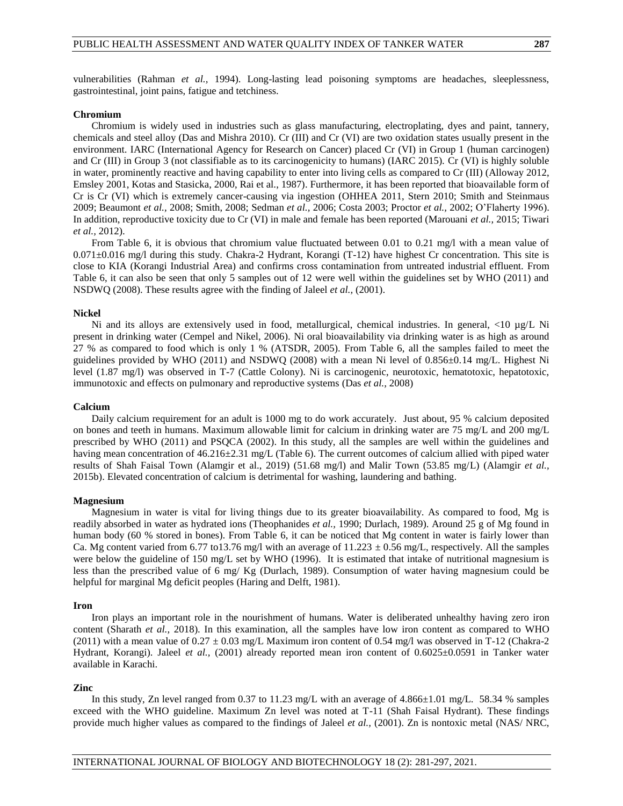vulnerabilities (Rahman *et al.,* 1994). Long-lasting lead poisoning symptoms are headaches, sleeplessness, gastrointestinal, joint pains, fatigue and tetchiness.

#### **Chromium**

Chromium is widely used in industries such as glass manufacturing, electroplating, dyes and paint, tannery, chemicals and steel alloy (Das and Mishra 2010). Cr (III) and Cr (VI) are two oxidation states usually present in the environment. IARC (International Agency for Research on Cancer) placed Cr (VI) in Group 1 (human carcinogen) and Cr (III) in Group 3 (not classifiable as to its carcinogenicity to humans) (IARC 2015). Cr (VI) is highly soluble in water, prominently reactive and having capability to enter into living cells as compared to Cr (III) (Alloway 2012, Emsley 2001, Kotas and Stasicka, 2000, Rai et al., 1987). Furthermore, it has been reported that bioavailable form of Cr is Cr (VI) which is extremely cancer-causing via ingestion (OHHEA 2011, Stern 2010; Smith and Steinmaus 2009; Beaumont *et al.,* 2008; Smith, 2008; Sedman *et al.,* 2006; Costa 2003; Proctor *et al.,* 2002; O'Flaherty 1996). In addition, reproductive toxicity due to Cr (VI) in male and female has been reported (Marouani *et al.,* 2015; Tiwari *et al.,* 2012).

From Table 6, it is obvious that chromium value fluctuated between 0.01 to 0.21 mg/l with a mean value of  $0.071 \pm 0.016$  mg/l during this study. Chakra-2 Hydrant, Korangi (T-12) have highest Cr concentration. This site is close to KIA (Korangi Industrial Area) and confirms cross contamination from untreated industrial effluent. From Table 6, it can also be seen that only 5 samples out of 12 were well within the guidelines set by WHO (2011) and NSDWQ (2008). These results agree with the finding of Jaleel *et al.,* (2001).

#### **Nickel**

Ni and its alloys are extensively used in food, metallurgical, chemical industries. In general, <10 µg/L Ni present in drinking water (Cempel and Nikel, 2006). Ni oral bioavailability via drinking water is as high as around 27 % as compared to food which is only 1 % (ATSDR, 2005). From Table 6, all the samples failed to meet the guidelines provided by WHO (2011) and NSDWQ (2008) with a mean Ni level of 0.856±0.14 mg/L. Highest Ni level (1.87 mg/l) was observed in T-7 (Cattle Colony). Ni is carcinogenic, neurotoxic, hematotoxic, hepatotoxic, immunotoxic and effects on pulmonary and reproductive systems (Das *et al.,* 2008)

#### **Calcium**

Daily calcium requirement for an adult is 1000 mg to do work accurately. Just about, 95 % calcium deposited on bones and teeth in humans. Maximum allowable limit for calcium in drinking water are 75 mg/L and 200 mg/L prescribed by WHO (2011) and PSQCA (2002). In this study, all the samples are well within the guidelines and having mean concentration of 46.216±2.31 mg/L (Table 6). The current outcomes of calcium allied with piped water results of Shah Faisal Town (Alamgir et al., 2019) (51.68 mg/l) and Malir Town (53.85 mg/L) (Alamgir *et al.,* 2015b). Elevated concentration of calcium is detrimental for washing, laundering and bathing.

#### **Magnesium**

Magnesium in water is vital for living things due to its greater bioavailability. As compared to food, Mg is readily absorbed in water as hydrated ions (Theophanides *et al.,* 1990; Durlach, 1989). Around 25 g of Mg found in human body (60 % stored in bones). From Table 6, it can be noticed that Mg content in water is fairly lower than Ca. Mg content varied from 6.77 to13.76 mg/l with an average of  $11.223 \pm 0.56$  mg/L, respectively. All the samples were below the guideline of 150 mg/L set by WHO (1996). It is estimated that intake of nutritional magnesium is less than the prescribed value of 6 mg/ Kg (Durlach, 1989). Consumption of water having magnesium could be helpful for marginal Mg deficit peoples (Haring and Delft, 1981).

#### **Iron**

Iron plays an important role in the nourishment of humans. Water is deliberated unhealthy having zero iron content (Sharath *et al.,* 2018). In this examination, all the samples have low iron content as compared to WHO (2011) with a mean value of  $0.27 \pm 0.03$  mg/L Maximum iron content of 0.54 mg/l was observed in T-12 (Chakra-2) Hydrant, Korangi). Jaleel *et al.,* (2001) already reported mean iron content of 0.6025±0.0591 in Tanker water available in Karachi.

### **Zinc**

In this study, Zn level ranged from 0.37 to 11.23 mg/L with an average of 4.866±1.01 mg/L. 58.34 % samples exceed with the WHO guideline. Maximum Zn level was noted at T-11 (Shah Faisal Hydrant). These findings provide much higher values as compared to the findings of Jaleel *et al.,* (2001). Zn is nontoxic metal (NAS/ NRC,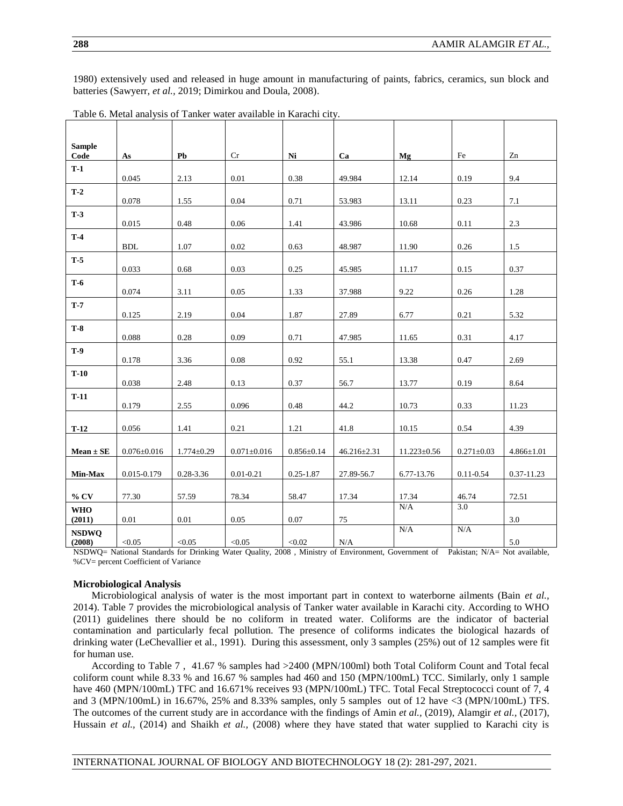1980) extensively used and released in huge amount in manufacturing of paints, fabrics, ceramics, sun block and batteries (Sawyerr, *et al.,* 2019; Dimirkou and Doula, 2008).

| <b>Sample</b>        |                   |                  |                   |                  |                   |                   |                  |                  |
|----------------------|-------------------|------------------|-------------------|------------------|-------------------|-------------------|------------------|------------------|
| Code                 | As                | Pb               | Cr                | Ni               | Ca                | Mg                | Fe               | Zn               |
| $T-1$                | 0.045             | 2.13             | 0.01              | 0.38             | 49.984            | 12.14             | 0.19             | 9.4              |
| $T-2$                |                   |                  |                   |                  |                   |                   |                  |                  |
|                      | 0.078             | 1.55             | 0.04              | 0.71             | 53.983            | 13.11             | 0.23             | 7.1              |
| $T-3$                | 0.015             | 0.48             | 0.06              | 1.41             | 43.986            | 10.68             | 0.11             | 2.3              |
| $T-4$                |                   |                  |                   |                  |                   |                   |                  |                  |
|                      | <b>BDL</b>        | 1.07             | 0.02              | 0.63             | 48.987            | 11.90             | 0.26             | 1.5              |
| $T-5$                | 0.033             | 0.68             | 0.03              | 0.25             | 45.985            | 11.17             | 0.15             | 0.37             |
| $T-6$                | 0.074             | 3.11             | 0.05              | 1.33             | 37.988            | 9.22              | 0.26             | 1.28             |
| $T-7$                |                   |                  |                   |                  |                   |                   |                  |                  |
|                      | 0.125             | 2.19             | 0.04              | 1.87             | 27.89             | 6.77              | 0.21             | 5.32             |
| $T-8$                |                   |                  |                   |                  |                   |                   |                  |                  |
|                      | 0.088             | 0.28             | 0.09              | 0.71             | 47.985            | 11.65             | 0.31             | 4.17             |
| <b>T-9</b>           | 0.178             | 3.36             | 0.08              | 0.92             | 55.1              | 13.38             | 0.47             | 2.69             |
| $T-10$               |                   |                  |                   |                  |                   |                   |                  |                  |
|                      | 0.038             | 2.48             | 0.13              | 0.37             | 56.7              | 13.77             | 0.19             | 8.64             |
| $T-11$               | 0.179             | 2.55             | 0.096             | 0.48             | 44.2              | 10.73             | 0.33             | 11.23            |
|                      |                   |                  |                   |                  |                   |                   |                  |                  |
| $T-12$               | 0.056             | 1.41             | 0.21              | 1.21             | 41.8              | 10.15             | 0.54             | 4.39             |
|                      |                   |                  |                   |                  |                   |                   |                  |                  |
| $Mean \pm SE$        | $0.076 \pm 0.016$ | $1.774 \pm 0.29$ | $0.071 \pm 0.016$ | $0.856 \pm 0.14$ | $46.216 \pm 2.31$ | $11.223 \pm 0.56$ | $0.271 \pm 0.03$ | $4.866 \pm 1.01$ |
| Min-Max              | 0.015-0.179       | 0.28-3.36        | $0.01 - 0.21$     | $0.25 - 1.87$    | 27.89-56.7        | 6.77-13.76        | $0.11 - 0.54$    | 0.37-11.23       |
|                      |                   |                  |                   |                  |                   |                   |                  |                  |
| $%$ CV               | 77.30             | 57.59            | 78.34             | 58.47            | 17.34             | 17.34<br>N/A      | 46.74<br>3.0     | 72.51            |
| <b>WHO</b><br>(2011) | 0.01              | 0.01             | 0.05              | 0.07             | 75                |                   |                  | 3.0              |
| <b>NSDWQ</b>         |                   |                  |                   |                  |                   | N/A               | N/A              |                  |
| (2008)               | < 0.05            | < 0.05           | < 0.05            | < 0.02           | N/A               |                   |                  | 5.0              |

| Table 6. Metal analysis of Tanker water available in Karachi city. |  |  |
|--------------------------------------------------------------------|--|--|
|                                                                    |  |  |

NSDWQ= National Standards for Drinking Water Quality, 2008 , Ministry of Environment, Government of Pakistan; N/A= Not available, %CV= percent Coefficient of Variance

#### **Microbiological Analysis**

Microbiological analysis of water is the most important part in context to waterborne ailments (Bain *et al.,* 2014). Table 7 provides the microbiological analysis of Tanker water available in Karachi city. According to WHO (2011) guidelines there should be no coliform in treated water. Coliforms are the indicator of bacterial contamination and particularly fecal pollution. The presence of coliforms indicates the biological hazards of drinking water (LeChevallier et al., 1991). During this assessment, only 3 samples (25%) out of 12 samples were fit for human use.

According to Table 7 , 41.67 % samples had >2400 (MPN/100ml) both Total Coliform Count and Total fecal coliform count while 8.33 % and 16.67 % samples had 460 and 150 (MPN/100mL) TCC. Similarly, only 1 sample have 460 (MPN/100mL) TFC and 16.671% receives 93 (MPN/100mL) TFC. Total Fecal Streptococci count of 7, 4 and 3 (MPN/100mL) in 16.67%, 25% and 8.33% samples, only 5 samples out of 12 have <3 (MPN/100mL) TFS. The outcomes of the current study are in accordance with the findings of Amin *et al.,* (2019), Alamgir *et al.,* (2017), Hussain *et al.,* (2014) and Shaikh *et al.,* (2008) where they have stated that water supplied to Karachi city is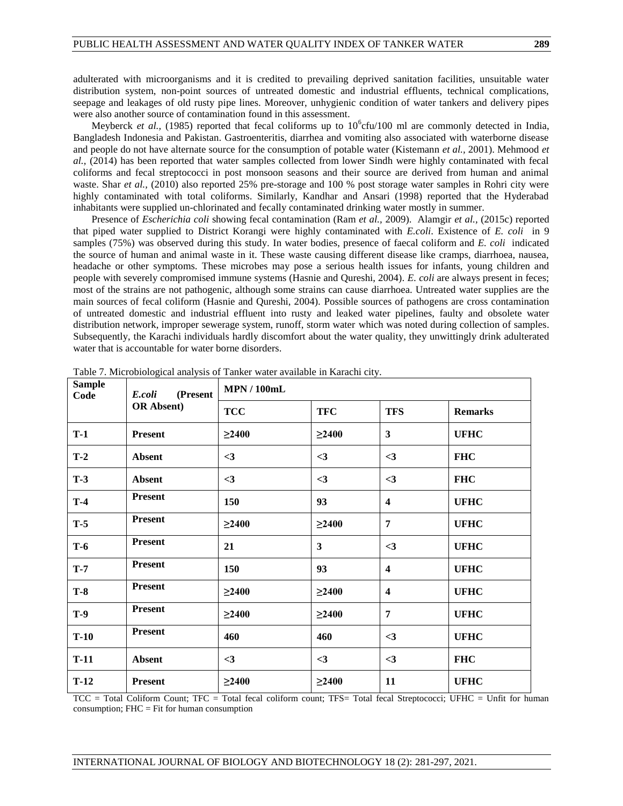adulterated with microorganisms and it is credited to prevailing deprived sanitation facilities, unsuitable water distribution system, non-point sources of untreated domestic and industrial effluents, technical complications, seepage and leakages of old rusty pipe lines. Moreover, unhygienic condition of water tankers and delivery pipes were also another source of contamination found in this assessment.

Meyberck *et al.*, (1985) reported that fecal coliforms up to  $10^6$ cfu/100 ml are commonly detected in India, Bangladesh Indonesia and Pakistan. Gastroenteritis, diarrhea and vomiting also associated with waterborne disease and people do not have alternate source for the consumption of potable water (Kistemann *et al.,* 2001). Mehmood *et al.,* (2014) has been reported that water samples collected from lower Sindh were highly contaminated with fecal coliforms and fecal streptococci in post monsoon seasons and their source are derived from human and animal waste. Shar *et al.*, (2010) also reported 25% pre-storage and 100 % post storage water samples in Rohri city were highly contaminated with total coliforms. Similarly, Kandhar and Ansari (1998) reported that the Hyderabad inhabitants were supplied un-chlorinated and fecally contaminated drinking water mostly in summer.

Presence of *Escherichia coli* showing fecal contamination (Ram *et al.,* 2009). Alamgir *et al.,* (2015c) reported that piped water supplied to District Korangi were highly contaminated with *E.coli*. Existence of *E. coli* in 9 samples (75%) was observed during this study. In water bodies, presence of faecal coliform and *E. coli* indicated the source of human and animal waste in it. These waste causing different disease like cramps, diarrhoea, nausea, headache or other symptoms. These microbes may pose a serious health issues for infants, young children and people with severely compromised immune systems (Hasnie and Qureshi, 2004). *E. coli* are always present in feces; most of the strains are not pathogenic, although some strains can cause diarrhoea. Untreated water supplies are the main sources of fecal coliform (Hasnie and Qureshi, 2004). Possible sources of pathogens are cross contamination of untreated domestic and industrial effluent into rusty and leaked water pipelines, faulty and obsolete water distribution network, improper sewerage system, runoff, storm water which was noted during collection of samples. Subsequently, the Karachi individuals hardly discomfort about the water quality, they unwittingly drink adulterated water that is accountable for water borne disorders.

| <b>Sample</b><br>(Present<br>E.coli<br>Code |                    | <b>MPN/100mL</b> |             |                         |                |  |
|---------------------------------------------|--------------------|------------------|-------------|-------------------------|----------------|--|
|                                             | <b>OR Absent</b> ) | <b>TCC</b>       | <b>TFC</b>  | <b>TFS</b>              | <b>Remarks</b> |  |
| $T-1$                                       | <b>Present</b>     | $\geq$ 2400      | $\geq$ 2400 | $\mathbf{3}$            | <b>UFHC</b>    |  |
| $T-2$                                       | <b>Absent</b>      | $\leq$ 3         | $\leq$ 3    | $\leq$ 3                | <b>FHC</b>     |  |
| $T-3$                                       | <b>Absent</b>      | $\leq$ 3         | $\leq$ 3    | $<$ 3                   | <b>FHC</b>     |  |
| $T-4$                                       | <b>Present</b>     | 150              | 93          | $\overline{\mathbf{4}}$ | <b>UFHC</b>    |  |
| $T-5$                                       | <b>Present</b>     | $\geq$ 2400      | $\geq$ 2400 | 7                       | <b>UFHC</b>    |  |
| $T-6$                                       | <b>Present</b>     | 21               | 3           | $<$ 3                   | <b>UFHC</b>    |  |
| $T-7$                                       | <b>Present</b>     | 150              | 93          | $\boldsymbol{4}$        | <b>UFHC</b>    |  |
| $T-8$                                       | <b>Present</b>     | $\geq$ 2400      | $\geq$ 2400 | $\overline{\mathbf{4}}$ | <b>UFHC</b>    |  |
| <b>T-9</b>                                  | <b>Present</b>     | $\geq$ 2400      | $\geq$ 2400 | 7                       | <b>UFHC</b>    |  |
| $T-10$                                      | <b>Present</b>     | 460              | 460         | $<$ 3                   | <b>UFHC</b>    |  |
| $T-11$                                      | <b>Absent</b>      | $\leq$ 3         | $\leq$ 3    | $<$ 3                   | <b>FHC</b>     |  |
| $T-12$                                      | <b>Present</b>     | $\geq$ 2400      | $\geq$ 2400 | 11                      | <b>UFHC</b>    |  |

Table 7. Microbiological analysis of Tanker water available in Karachi city.

TCC = Total Coliform Count; TFC = Total fecal coliform count; TFS= Total fecal Streptococci; UFHC = Unfit for human consumption; FHC = Fit for human consumption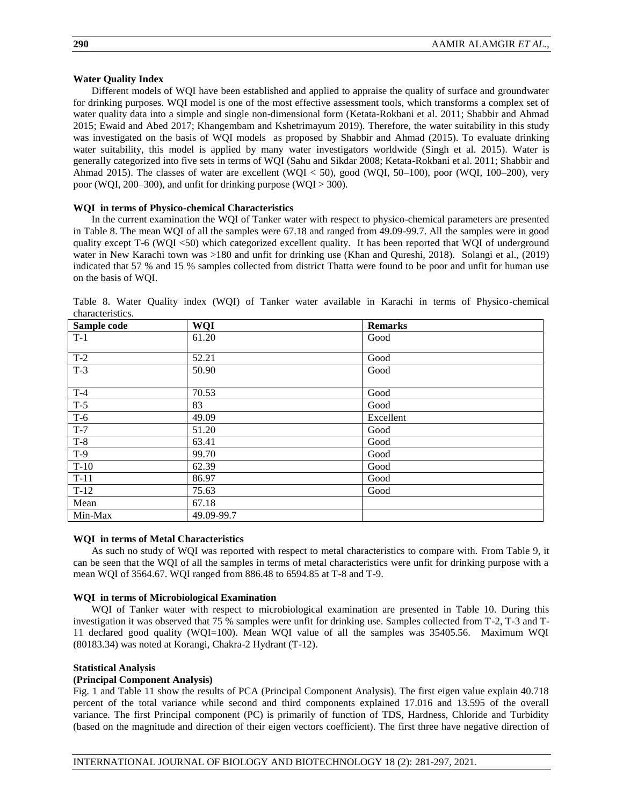# **Water Quality Index**

Different models of WQI have been established and applied to appraise the quality of surface and groundwater for drinking purposes. WQI model is one of the most effective assessment tools, which transforms a complex set of water quality data into a simple and single non-dimensional form (Ketata-Rokbani et al. 2011; Shabbir and Ahmad 2015; Ewaid and Abed 2017; Khangembam and Kshetrimayum 2019). Therefore, the water suitability in this study was investigated on the basis of WQI models as proposed by Shabbir and Ahmad (2015). To evaluate drinking water suitability, this model is applied by many water investigators worldwide (Singh et al. 2015). Water is generally categorized into five sets in terms of WQI (Sahu and Sikdar 2008; Ketata-Rokbani et al. 2011; Shabbir and Ahmad 2015). The classes of water are excellent (WQI < 50), good (WQI, 50–100), poor (WQI, 100–200), very poor (WQI, 200–300), and unfit for drinking purpose (WQI > 300).

# **WQI in terms of Physico-chemical Characteristics**

In the current examination the WQI of Tanker water with respect to physico-chemical parameters are presented in Table 8. The mean WQI of all the samples were 67.18 and ranged from 49.09-99.7. All the samples were in good quality except T-6 (WQI <50) which categorized excellent quality. It has been reported that WQI of underground water in New Karachi town was >180 and unfit for drinking use (Khan and Qureshi, 2018). Solangi et al., (2019) indicated that 57 % and 15 % samples collected from district Thatta were found to be poor and unfit for human use on the basis of WQI.

| Sample code | <b>WQI</b> | <b>Remarks</b> |
|-------------|------------|----------------|
| $T-1$       | 61.20      | Good           |
|             |            |                |
| $T-2$       | 52.21      | Good           |
| $T-3$       | 50.90      | Good           |
|             |            |                |
| $T-4$       | 70.53      | Good           |
| $T-5$       | 83         | Good           |
| $T-6$       | 49.09      | Excellent      |
| $T-7$       | 51.20      | Good           |
| $T-8$       | 63.41      | Good           |
| $T-9$       | 99.70      | Good           |
| $T-10$      | 62.39      | Good           |
| $T-11$      | 86.97      | Good           |
| $T-12$      | 75.63      | Good           |
| Mean        | 67.18      |                |
| Min-Max     | 49.09-99.7 |                |

Table 8. Water Quality index (WQI) of Tanker water available in Karachi in terms of Physico-chemical characteristics.

# **WQI in terms of Metal Characteristics**

As such no study of WQI was reported with respect to metal characteristics to compare with. From Table 9, it can be seen that the WQI of all the samples in terms of metal characteristics were unfit for drinking purpose with a mean WQI of 3564.67. WQI ranged from 886.48 to 6594.85 at T-8 and T-9.

# **WQI in terms of Microbiological Examination**

WQI of Tanker water with respect to microbiological examination are presented in Table 10. During this investigation it was observed that 75 % samples were unfit for drinking use. Samples collected from T-2, T-3 and T-11 declared good quality (WQI=100). Mean WQI value of all the samples was 35405.56. Maximum WQI (80183.34) was noted at Korangi, Chakra-2 Hydrant (T-12).

#### **Statistical Analysis**

# **(Principal Component Analysis)**

Fig. 1 and Table 11 show the results of PCA (Principal Component Analysis). The first eigen value explain 40.718 percent of the total variance while second and third components explained 17.016 and 13.595 of the overall variance. The first Principal component (PC) is primarily of function of TDS, Hardness, Chloride and Turbidity (based on the magnitude and direction of their eigen vectors coefficient). The first three have negative direction of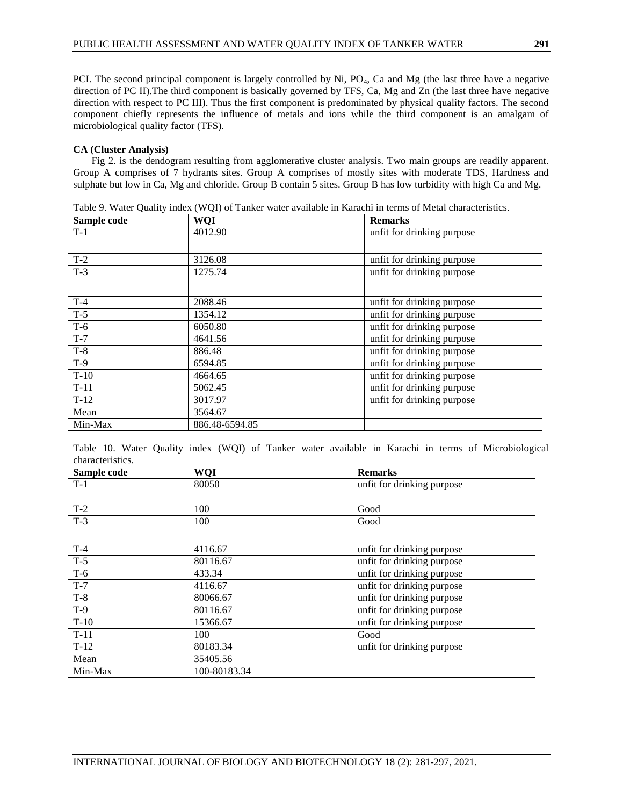PCI. The second principal component is largely controlled by Ni, PO<sub>4</sub>, Ca and Mg (the last three have a negative direction of PC II). The third component is basically governed by TFS, Ca, Mg and Zn (the last three have negative direction with respect to PC III). Thus the first component is predominated by physical quality factors. The second component chiefly represents the influence of metals and ions while the third component is an amalgam of microbiological quality factor (TFS).

# **CA (Cluster Analysis)**

Fig 2. is the dendogram resulting from agglomerative cluster analysis. Two main groups are readily apparent. Group A comprises of 7 hydrants sites. Group A comprises of mostly sites with moderate TDS, Hardness and sulphate but low in Ca, Mg and chloride. Group B contain 5 sites. Group B has low turbidity with high Ca and Mg.

| Sample code | <b>WQI</b>     | <b>Remarks</b>             |
|-------------|----------------|----------------------------|
| $T-1$       | 4012.90        | unfit for drinking purpose |
|             |                |                            |
| $T-2$       | 3126.08        | unfit for drinking purpose |
| $T-3$       | 1275.74        | unfit for drinking purpose |
|             |                |                            |
| $T-4$       | 2088.46        | unfit for drinking purpose |
| $T-5$       | 1354.12        | unfit for drinking purpose |
| $T-6$       | 6050.80        | unfit for drinking purpose |
| $T-7$       | 4641.56        | unfit for drinking purpose |
| $T-8$       | 886.48         | unfit for drinking purpose |
| $T-9$       | 6594.85        | unfit for drinking purpose |
| $T-10$      | 4664.65        | unfit for drinking purpose |
| $T-11$      | 5062.45        | unfit for drinking purpose |
| $T-12$      | 3017.97        | unfit for drinking purpose |
| Mean        | 3564.67        |                            |
| Min-Max     | 886.48-6594.85 |                            |

Table 9. Water Quality index (WQI) of Tanker water available in Karachi in terms of Metal characteristics.

Table 10. Water Quality index (WQI) of Tanker water available in Karachi in terms of Microbiological characteristics.

| Sample code | <b>WQI</b>   | <b>Remarks</b>             |
|-------------|--------------|----------------------------|
| $T-1$       | 80050        | unfit for drinking purpose |
|             |              |                            |
| $T-2$       | 100          | Good                       |
| $T-3$       | 100          | Good                       |
|             |              |                            |
| $T-4$       | 4116.67      | unfit for drinking purpose |
| $T-5$       | 80116.67     | unfit for drinking purpose |
| $T-6$       | 433.34       | unfit for drinking purpose |
| $T-7$       | 4116.67      | unfit for drinking purpose |
| $T-8$       | 80066.67     | unfit for drinking purpose |
| $T-9$       | 80116.67     | unfit for drinking purpose |
| $T-10$      | 15366.67     | unfit for drinking purpose |
| $T-11$      | 100          | Good                       |
| $T-12$      | 80183.34     | unfit for drinking purpose |
| Mean        | 35405.56     |                            |
| Min-Max     | 100-80183.34 |                            |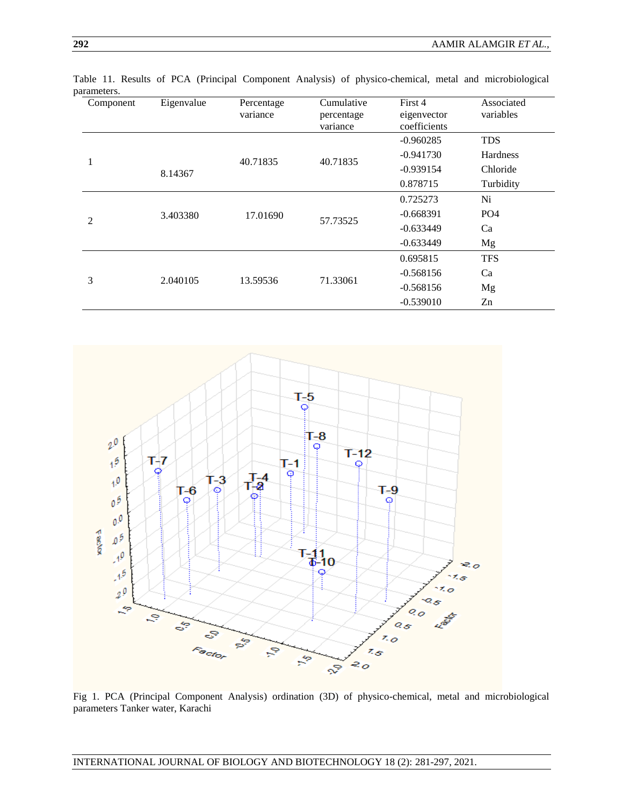| Component | Eigenvalue          | Percentage<br>variance | Cumulative<br>percentage<br>variance | First 4<br>eigenvector<br>coefficients | Associated<br>variables |
|-----------|---------------------|------------------------|--------------------------------------|----------------------------------------|-------------------------|
|           |                     |                        |                                      | $-0.960285$                            | <b>TDS</b>              |
|           |                     |                        |                                      | $-0.941730$                            | Hardness                |
| 1         | 40.71835<br>8.14367 |                        | 40.71835                             | $-0.939154$                            | Chloride                |
|           |                     |                        |                                      | 0.878715                               | Turbidity               |
|           |                     |                        |                                      | 0.725273                               | Ni                      |
| 2         | 3.403380            | 17.01690               | 57.73525                             | $-0.668391$                            | PO <sub>4</sub>         |
|           |                     |                        |                                      | $-0.633449$                            | Ca                      |
|           |                     |                        |                                      | $-0.633449$                            | Mg                      |
|           |                     |                        |                                      | 0.695815                               | <b>TFS</b>              |
| 3         | 2.040105            | 13.59536               | 71.33061                             | $-0.568156$                            | Ca                      |
|           |                     |                        |                                      | $-0.568156$                            | Mg                      |
|           |                     |                        |                                      | $-0.539010$                            | Zn                      |

Table 11. Results of PCA (Principal Component Analysis) of physico-chemical, metal and microbiological parameters.



Fig 1. PCA (Principal Component Analysis) ordination (3D) of physico-chemical, metal and microbiological parameters Tanker water, Karachi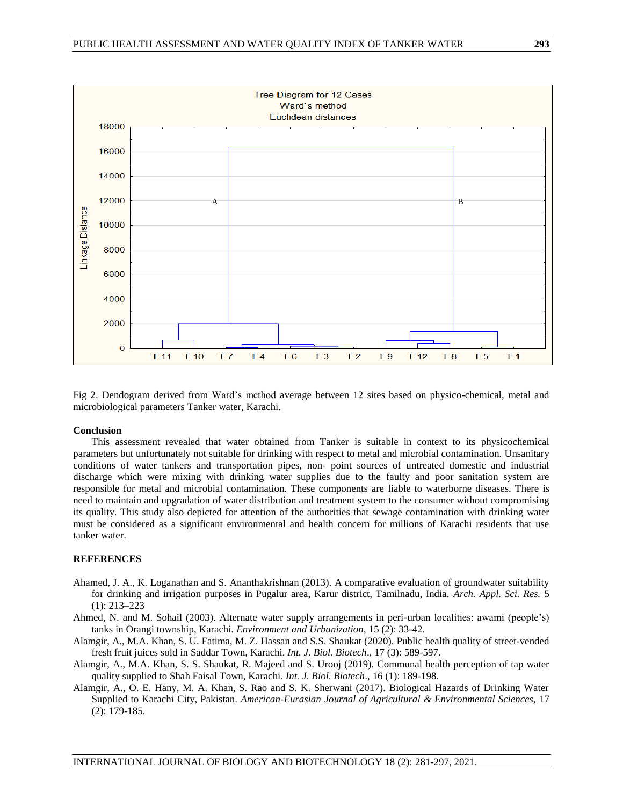

Fig 2. Dendogram derived from Ward's method average between 12 sites based on physico-chemical, metal and microbiological parameters Tanker water, Karachi.

# **Conclusion**

This assessment revealed that water obtained from Tanker is suitable in context to its physicochemical parameters but unfortunately not suitable for drinking with respect to metal and microbial contamination. Unsanitary conditions of water tankers and transportation pipes, non- point sources of untreated domestic and industrial discharge which were mixing with drinking water supplies due to the faulty and poor sanitation system are responsible for metal and microbial contamination. These components are liable to waterborne diseases. There is need to maintain and upgradation of water distribution and treatment system to the consumer without compromising its quality. This study also depicted for attention of the authorities that sewage contamination with drinking water must be considered as a significant environmental and health concern for millions of Karachi residents that use tanker water.

# **REFERENCES**

- Ahamed, J. A., K. Loganathan and S. Ananthakrishnan (2013). A comparative evaluation of groundwater suitability for drinking and irrigation purposes in Pugalur area, Karur district, Tamilnadu, India. *Arch. Appl. Sci. Res.* 5 (1): 213–223
- Ahmed, N. and M. Sohail (2003). Alternate water supply arrangements in peri-urban localities: awami (people's) tanks in Orangi township, Karachi. *Environment and Urbanization*, 15 (2): 33-42.
- Alamgir, A., M.A. Khan, S. U. Fatima, M. Z. Hassan and S.S. Shaukat (2020). Public health quality of street-vended fresh fruit juices sold in Saddar Town, Karachi. *Int. J. Biol. Biotech*., 17 (3): 589-597.
- Alamgir, A., M.A. Khan, S. S. Shaukat, R. Majeed and S. Urooj (2019). Communal health perception of tap water quality supplied to Shah Faisal Town, Karachi. *Int. J. Biol. Biotech*., 16 (1): 189-198.
- Alamgir, A., O. E. Hany, M. A. Khan, S. Rao and S. K. Sherwani (2017). Biological Hazards of Drinking Water Supplied to Karachi City, Pakistan. *American-Eurasian Journal of Agricultural & Environmental Sciences,* 17 (2): 179-185.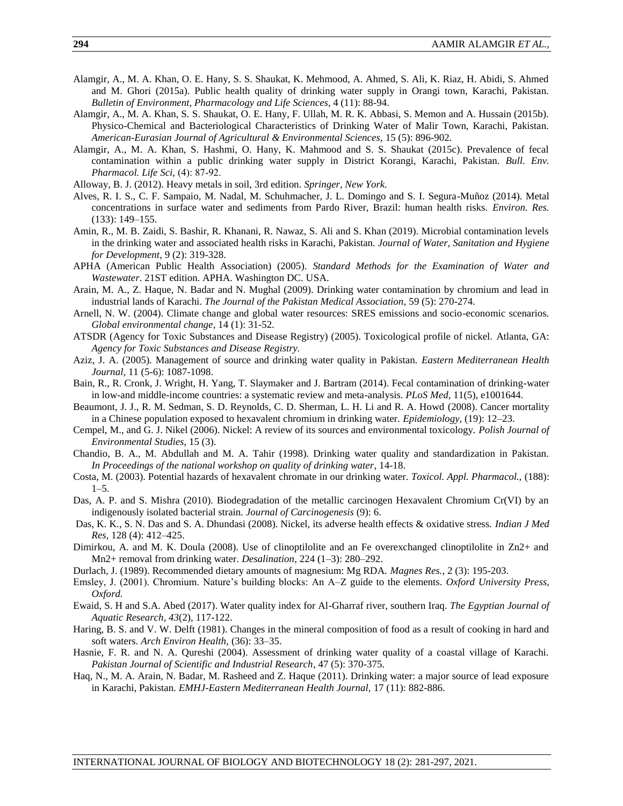- Alamgir, A., M. A. Khan, O. E. Hany, S. S. Shaukat, K. Mehmood, A. Ahmed, S. Ali, K. Riaz, H. Abidi, S. Ahmed and M. Ghori (2015a). Public health quality of drinking water supply in Orangi town, Karachi, Pakistan. *Bulletin of Environment, Pharmacology and Life Sciences*, 4 (11): 88-94.
- Alamgir, A., M. A. Khan, S. S. Shaukat, O. E. Hany, F. Ullah, M. R. K. Abbasi, S. Memon and A. Hussain (2015b). Physico-Chemical and Bacteriological Characteristics of Drinking Water of Malir Town, Karachi, Pakistan. *American-Eurasian Journal of Agricultural & Environmental Sciences,* 15 (5): 896-902.
- Alamgir, A., M. A. Khan, S. Hashmi, O. Hany, K. Mahmood and S. S. Shaukat (2015c). Prevalence of fecal contamination within a public drinking water supply in District Korangi, Karachi, Pakistan. *Bull. Env. Pharmacol. Life Sci,* (4): 87‐92.
- Alloway, B. J. (2012). Heavy metals in soil, 3rd edition. *Springer, New York.*
- Alves, R. I. S., C. F. Sampaio, M. Nadal, M. Schuhmacher, J. L. Domingo and S. I. Segura-Muñoz (2014). Metal concentrations in surface water and sediments from Pardo River, Brazil: human health risks. *Environ. Res.* (133): 149–155.
- Amin, R., M. B. Zaidi, S. Bashir, R. Khanani, R. Nawaz, S. Ali and S. Khan (2019). Microbial contamination levels in the drinking water and associated health risks in Karachi, Pakistan. *Journal of Water, Sanitation and Hygiene for Development*, 9 (2): 319-328.
- APHA (American Public Health Association) (2005). *Standard Methods for the Examination of Water and Wastewater*. 21ST edition. APHA. Washington DC. USA.
- Arain, M. A., Z. Haque, N. Badar and N. Mughal (2009). Drinking water contamination by chromium and lead in industrial lands of Karachi. *The Journal of the Pakistan Medical Association,* 59 (5): 270-274.
- Arnell, N. W. (2004). Climate change and global water resources: SRES emissions and socio-economic scenarios. *Global environmental change*, 14 (1): 31-52.
- ATSDR (Agency for Toxic Substances and Disease Registry) (2005). Toxicological profile of nickel. Atlanta, GA: *Agency for Toxic Substances and Disease Registry.*
- Aziz, J. A. (2005). Management of source and drinking water quality in Pakistan. *Eastern Mediterranean Health Journal,* 11 (5-6): 1087-1098.
- Bain, R., R. Cronk, J. Wright, H. Yang, T. Slaymaker and J. Bartram (2014). Fecal contamination of drinking-water in low-and middle-income countries: a systematic review and meta-analysis. *PLoS Med*, 11(5), e1001644.
- Beaumont, J. J., R. M. Sedman, S. D. Reynolds, C. D. Sherman, L. H. Li and R. A. Howd (2008). Cancer mortality in a Chinese population exposed to hexavalent chromium in drinking water. *Epidemiology,* (19): 12–23.
- Cempel, M., and G. J. Nikel (2006). Nickel: A review of its sources and environmental toxicology. *Polish Journal of Environmental Studies*, 15 (3).
- Chandio, B. A., M. Abdullah and M. A. Tahir (1998). Drinking water quality and standardization in Pakistan. *In Proceedings of the national workshop on quality of drinking water*, 14-18.
- Costa, M. (2003). Potential hazards of hexavalent chromate in our drinking water. *Toxicol. Appl. Pharmacol.,* (188): 1–5.
- Das, A. P. and S. Mishra (2010). Biodegradation of the metallic carcinogen Hexavalent Chromium Cr(VI) by an indigenously isolated bacterial strain. *Journal of Carcinogenesis* (9): 6.
- Das, K. K., S. N. Das and S. A. Dhundasi (2008). Nickel, its adverse health effects & oxidative stress. *Indian J Med Res*, 128 (4): 412–425.
- Dimirkou, A. and M. K. Doula (2008). Use of clinoptilolite and an Fe overexchanged clinoptilolite in Zn2+ and Mn2+ removal from drinking water. *Desalination*, 224 (1–3): 280–292.
- Durlach, J. (1989). Recommended dietary amounts of magnesium: Mg RDA. *Magnes Res.*, 2 (3): 195-203.
- Emsley, J. (2001). Chromium. Nature's building blocks: An A–Z guide to the elements. *Oxford University Press, Oxford.*
- Ewaid, S. H and S.A. Abed (2017). Water quality index for Al-Gharraf river, southern Iraq. *The Egyptian Journal of Aquatic Research*, *43*(2), 117-122.
- Haring, B. S. and V. W. Delft (1981). Changes in the mineral composition of food as a result of cooking in hard and soft waters. *Arch Environ Health,* (36): 33–35.
- Hasnie, F. R. and N. A. Qureshi (2004). Assessment of drinking water quality of a coastal village of Karachi. *Pakistan Journal of Scientific and Industrial Research*, 47 (5): 370-375.
- Haq, N., M. A. Arain, N. Badar, M. Rasheed and Z. Haque (2011). Drinking water: a major source of lead exposure in Karachi, Pakistan. *EMHJ-Eastern Mediterranean Health Journal,* 17 (11): 882-886.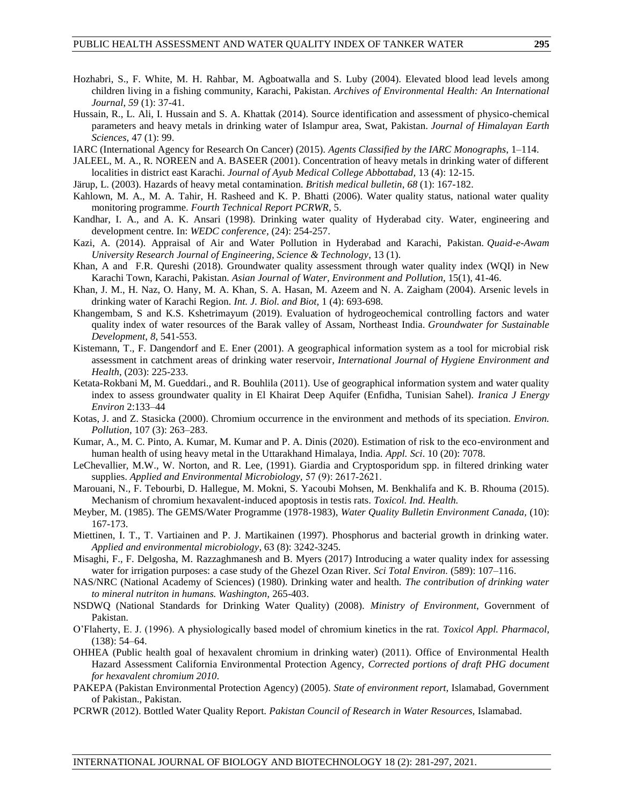- Hozhabri, S., F. White, M. H. Rahbar, M. Agboatwalla and S. Luby (2004). Elevated blood lead levels among children living in a fishing community, Karachi, Pakistan. *Archives of Environmental Health: An International Journal*, *59* (1): 37-41.
- Hussain, R., L. Ali, I. Hussain and S. A. Khattak (2014). Source identification and assessment of physico-chemical parameters and heavy metals in drinking water of Islampur area, Swat, Pakistan. *Journal of Himalayan Earth Sciences*, 47 (1): 99.
- IARC (International Agency for Research On Cancer) (2015). *Agents Classified by the IARC Monographs*, 1–114.
- JALEEL, M. A., R. NOREEN and A. BASEER (2001). Concentration of heavy metals in drinking water of different localities in district east Karachi. *Journal of Ayub Medical College Abbottabad,* 13 (4): 12-15.
- Järup, L. (2003). Hazards of heavy metal contamination. *British medical bulletin*, *68* (1): 167-182.
- Kahlown, M. A., M. A. Tahir, H. Rasheed and K. P. Bhatti (2006). Water quality status, national water quality monitoring programme. *Fourth Technical Report PCRWR*, 5.
- Kandhar, I. A., and A. K. Ansari (1998). Drinking water quality of Hyderabad city. Water, engineering and development centre. In: *WEDC conference,* (24): 254-257.
- Kazi, A. (2014). Appraisal of Air and Water Pollution in Hyderabad and Karachi, Pakistan. *Quaid-e-Awam University Research Journal of Engineering, Science & Technology*, 13 (1).
- Khan, A and F.R. Qureshi (2018). Groundwater quality assessment through water quality index (WQI) in New Karachi Town, Karachi, Pakistan. *Asian Journal of Water, Environment and Pollution*, 15(1), 41-46.
- Khan, J. M., H. Naz, O. Hany, M. A. Khan, S. A. Hasan, M. Azeem and N. A. Zaigham (2004). Arsenic levels in drinking water of Karachi Region*. Int. J. Biol. and Biot,* 1 (4): 693-698.
- Khangembam, S and K.S. Kshetrimayum (2019). Evaluation of hydrogeochemical controlling factors and water quality index of water resources of the Barak valley of Assam, Northeast India. *Groundwater for Sustainable Development*, *8*, 541-553.
- Kistemann, T., F. Dangendorf and E. Ener (2001). A geographical information system as a tool for microbial risk assessment in catchment areas of drinking water reservoir*, International Journal of Hygiene Environment and Health*, (203): 225-233.
- Ketata-Rokbani M, M. Gueddari., and R. Bouhlila (2011). Use of geographical information system and water quality index to assess groundwater quality in El Khairat Deep Aquifer (Enfidha, Tunisian Sahel). *Iranica J Energy Environ* 2:133–44
- Kotas, J. and Z. Stasicka (2000). Chromium occurrence in the environment and methods of its speciation. *Environ. Pollution,* 107 (3): 263–283.
- Kumar, A., M. C. Pinto, A. Kumar, M. Kumar and P. A. Dinis (2020). Estimation of risk to the eco-environment and human health of using heavy metal in the Uttarakhand Himalaya, India. *Appl. Sci*. 10 (20): 7078.
- LeChevallier, M.W., W. Norton, and R. Lee, (1991). Giardia and Cryptosporidum spp. in filtered drinking water supplies. *Applied and Environmental Microbiology,* 57 (9): 2617‐2621.
- Marouani, N., F. Tebourbi, D. Hallegue, M. Mokni, S. Yacoubi Mohsen, M. Benkhalifa and K. B. Rhouma (2015). Mechanism of chromium hexavalent-induced apoptosis in testis rats. *Toxicol. Ind. Health.*
- Meyber, M. (1985). The GEMS/Water Programme (1978-1983), *Water Quality Bulletin Environment Canada,* (10): 167-173.
- Miettinen, I. T., T. Vartiainen and P. J. Martikainen (1997). Phosphorus and bacterial growth in drinking water. *Applied and environmental microbiology*, 63 (8): 3242-3245.
- Misaghi, F., F. Delgosha, M. Razzaghmanesh and B. Myers (2017) Introducing a water quality index for assessing water for irrigation purposes: a case study of the Ghezel Ozan River. *Sci Total Environ.* (589): 107–116.
- NAS/NRC (National Academy of Sciences) (1980). Drinking water and health. *The contribution of drinking water to mineral nutriton in humans. Washington,* 265-403.
- NSDWQ (National Standards for Drinking Water Quality) (2008). *Ministry of Environment*, Government of Pakistan.
- O'Flaherty, E. J. (1996). A physiologically based model of chromium kinetics in the rat. *Toxicol Appl. Pharmacol,* (138): 54–64.
- OHHEA (Public health goal of hexavalent chromium in drinking water) (2011). Office of Environmental Health Hazard Assessment California Environmental Protection Agency, *Corrected portions of draft PHG document for hexavalent chromium 2010*.
- PAKEPA (Pakistan Environmental Protection Agency) (2005). *State of environment report,* Islamabad, Government of Pakistan., Pakistan.
- PCRWR (2012). Bottled Water Quality Report. *Pakistan Council of Research in Water Resources,* Islamabad.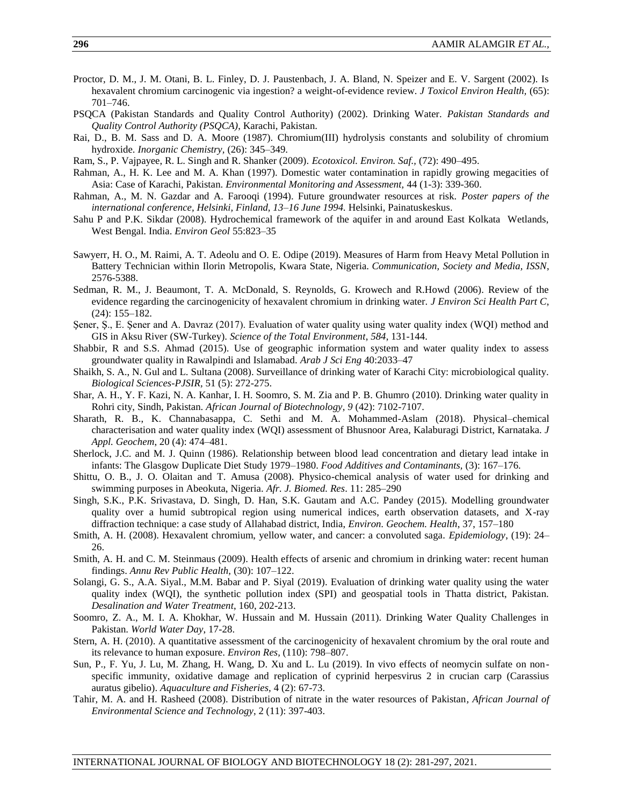- Proctor, D. M., J. M. Otani, B. L. Finley, D. J. Paustenbach, J. A. Bland, N. Speizer and E. V. Sargent (2002). Is hexavalent chromium carcinogenic via ingestion? a weight-of-evidence review. *J Toxicol Environ Health,* (65): 701–746.
- PSQCA (Pakistan Standards and Quality Control Authority) (2002). Drinking Water. *Pakistan Standards and Quality Control Authority (PSQCA)*, Karachi, Pakistan.
- Rai, D., B. M. Sass and D. A. Moore (1987). Chromium(III) hydrolysis constants and solubility of chromium hydroxide. *Inorganic Chemistry,* (26): 345–349.
- Ram, S., P. Vajpayee, R. L. Singh and R. Shanker (2009). *Ecotoxicol. Environ. Saf.,* (72): 490–495.
- Rahman, A., H. K. Lee and M. A. Khan (1997). Domestic water contamination in rapidly growing megacities of Asia: Case of Karachi, Pakistan. *Environmental Monitoring and Assessment,* 44 (1-3): 339-360.
- Rahman, A., M. N. Gazdar and A. Farooqi (1994). Future groundwater resources at risk. *Poster papers of the international conference, Helsinki, Finland, 13–16 June 1994.* Helsinki, Painatuskeskus.
- Sahu P and P.K. Sikdar (2008). Hydrochemical framework of the aquifer in and around East Kolkata Wetlands, West Bengal. India. *Environ Geol* 55:823–35
- Sawyerr, H. O., M. Raimi, A. T. Adeolu and O. E. Odipe (2019). Measures of Harm from Heavy Metal Pollution in Battery Technician within Ilorin Metropolis, Kwara State, Nigeria. *Communication, Society and Media, ISSN*, 2576-5388.
- Sedman, R. M., J. Beaumont, T. A. McDonald, S. Reynolds, G. Krowech and R.Howd (2006). Review of the evidence regarding the carcinogenicity of hexavalent chromium in drinking water. *J Environ Sci Health Part C*, (24): 155–182.
- Şener, Ş., E. Şener and A. Davraz (2017). Evaluation of water quality using water quality index (WQI) method and GIS in Aksu River (SW-Turkey). *Science of the Total Environment*, *584*, 131-144.
- Shabbir, R and S.S. Ahmad (2015). Use of geographic information system and water quality index to assess groundwater quality in Rawalpindi and Islamabad. *Arab J Sci Eng* 40:2033–47
- Shaikh, S. A., N. Gul and L. Sultana (2008). Surveillance of drinking water of Karachi City: microbiological quality. *Biological Sciences-PJSIR,* 51 (5): 272-275.
- Shar, A. H., Y. F. Kazi, N. A. Kanhar, I. H. Soomro, S. M. Zia and P. B. Ghumro (2010). Drinking water quality in Rohri city, Sindh, Pakistan. *African Journal of Biotechnology*, *9* (42): 7102-7107.
- Sharath, R. B., K. Channabasappa, C. Sethi and M. A. Mohammed-Aslam (2018). Physical–chemical characterisation and water quality index (WQI) assessment of Bhusnoor Area, Kalaburagi District, Karnataka*. J Appl. Geochem*, 20 (4): 474–481.
- Sherlock, J.C. and M. J. Quinn (1986). Relationship between blood lead concentration and dietary lead intake in infants: The Glasgow Duplicate Diet Study 1979–1980. *Food Additives and Contaminants,* (3): 167–176.
- Shittu, O. B., J. O. Olaitan and T. Amusa (2008). Physico-chemical analysis of water used for drinking and swimming purposes in Abeokuta, Nigeria. *Afr. J. Biomed. Res*. 11: 285–290
- Singh, S.K., P.K. Srivastava, D. Singh, D. Han, S.K. Gautam and A.C. Pandey (2015). Modelling groundwater quality over a humid subtropical region using numerical indices, earth observation datasets, and X-ray diffraction technique: a case study of Allahabad district, India, *Environ. Geochem. Health*, 37, 157–180
- Smith, A. H. (2008). Hexavalent chromium, yellow water, and cancer: a convoluted saga. *Epidemiology*, (19): 24– 26.
- Smith, A. H. and C. M. Steinmaus (2009). Health effects of arsenic and chromium in drinking water: recent human findings. *Annu Rev Public Health,* (30): 107–122.
- Solangi, G. S., A.A. Siyal., M.M. Babar and P. Siyal (2019). Evaluation of drinking water quality using the water quality index (WQI), the synthetic pollution index (SPI) and geospatial tools in Thatta district, Pakistan. *Desalination and Water Treatment*, 160, 202-213.
- Soomro, Z. A., M. I. A. Khokhar, W. Hussain and M. Hussain (2011). Drinking Water Quality Challenges in Pakistan. *World Water Day*, 17-28.
- Stern, A. H. (2010). A quantitative assessment of the carcinogenicity of hexavalent chromium by the oral route and its relevance to human exposure. *Environ Res,* (110): 798–807.
- Sun, P., F. Yu, J. Lu, M. Zhang, H. Wang, D. Xu and L. Lu (2019). In vivo effects of neomycin sulfate on nonspecific immunity, oxidative damage and replication of cyprinid herpesvirus 2 in crucian carp (Carassius auratus gibelio). *Aquaculture and Fisheries,* 4 (2): 67-73.
- Tahir, M. A. and H. Rasheed (2008). Distribution of nitrate in the water resources of Pakistan*, African Journal of Environmental Science and Technology*, 2 (11): 397-403.